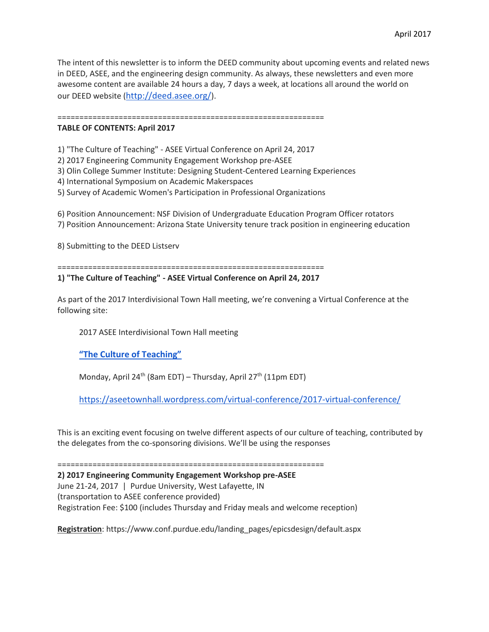The intent of this newsletter is to inform the DEED community about upcoming events and related news in DEED, ASEE, and the engineering design community. As always, these newsletters and even more awesome content are available 24 hours a day, 7 days a week, at locations all around the world on our DEED website (<http://deed.asee.org/>).

=============================================================

### **TABLE OF CONTENTS: April 2017**

1) "The Culture of Teaching" - ASEE Virtual Conference on April 24, 2017

2) 2017 Engineering Community Engagement Workshop pre-ASEE

3) Olin College Summer Institute: Designing Student-Centered Learning Experiences

- 4) International Symposium on Academic Makerspaces
- 5) Survey of Academic Women's Participation in Professional Organizations

6) Position Announcement: NSF Division of Undergraduate Education Program Officer rotators 7) Position Announcement: Arizona State University tenure track position in engineering education

8) Submitting to the DEED Listserv

=============================================================

**1) "The Culture of Teaching" - ASEE Virtual Conference on April 24, 2017**

As part of the 2017 Interdivisional Town Hall meeting, we're convening a Virtual Conference at the following site:

2017 ASEE Interdivisional Town Hall meeting

**["The Culture of Teaching"](https://aseetownhall.wordpress.com/virtual-conference/2017-virtual-conference/)**

Monday, April 24<sup>th</sup> (8am EDT) – Thursday, April 27<sup>th</sup> (11pm EDT)

<https://aseetownhall.wordpress.com/virtual-conference/2017-virtual-conference/>

This is an exciting event focusing on twelve different aspects of our culture of teaching, contributed by the delegates from the co-sponsoring divisions. We'll be using the responses

=============================================================

**2) 2017 Engineering Community Engagement Workshop pre-ASEE** June 21-24, 2017 | Purdue University, West Lafayette, IN (transportation to ASEE conference provided) Registration Fee: \$100 (includes Thursday and Friday meals and welcome reception)

**Registration**: https://www.conf.purdue.edu/landing\_pages/epicsdesign/default.aspx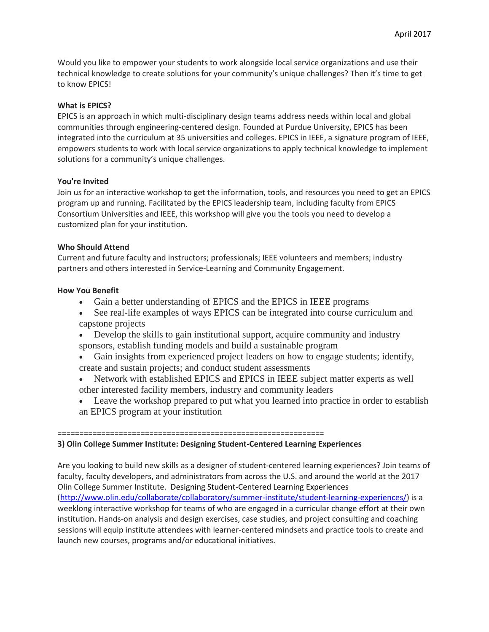Would you like to empower your students to work alongside local service organizations and use their technical knowledge to create solutions for your community's unique challenges? Then it's time to get to know EPICS!

# **What is EPICS?**

EPICS is an approach in which multi-disciplinary design teams address needs within local and global communities through engineering-centered design. Founded at Purdue University, EPICS has been integrated into the curriculum at 35 universities and colleges. EPICS in IEEE, a signature program of IEEE, empowers students to work with local service organizations to apply technical knowledge to implement solutions for a community's unique challenges.

## **You're Invited**

Join us for an interactive workshop to get the information, tools, and resources you need to get an EPICS program up and running. Facilitated by the EPICS leadership team, including faculty from EPICS Consortium Universities and IEEE, this workshop will give you the tools you need to develop a customized plan for your institution.

## **Who Should Attend**

Current and future faculty and instructors; professionals; IEEE volunteers and members; industry partners and others interested in Service-Learning and Community Engagement.

## **How You Benefit**

- Gain a better understanding of EPICS and the EPICS in IEEE programs
- See real-life examples of ways EPICS can be integrated into course curriculum and capstone projects
- Develop the skills to gain institutional support, acquire community and industry sponsors, establish funding models and build a sustainable program
- Gain insights from experienced project leaders on how to engage students; identify, create and sustain projects; and conduct student assessments
- Network with established EPICS and EPICS in IEEE subject matter experts as well other interested facility members, industry and community leaders
- Leave the workshop prepared to put what you learned into practice in order to establish an EPICS program at your institution

#### =============================================================

### **3) Olin College Summer Institute: Designing Student-Centered Learning Experiences**

Are you looking to build new skills as a designer of student-centered learning experiences? Join teams of faculty, faculty developers, and administrators from across the U.S. and around the world at the 2017 Olin College Summer Institute. Designing Student-Centered Learning Experiences [\(http://www.olin.edu/collaborate/collaboratory/summer-institute/student-learning-experiences/\)](http://www.olin.edu/collaborate/collaboratory/summer-institute/student-learning-experiences/) is a weeklong interactive workshop for teams of who are engaged in a curricular change effort at their own institution. Hands-on analysis and design exercises, case studies, and project consulting and coaching sessions will equip institute attendees with learner-centered mindsets and practice tools to create and launch new courses, programs and/or educational initiatives.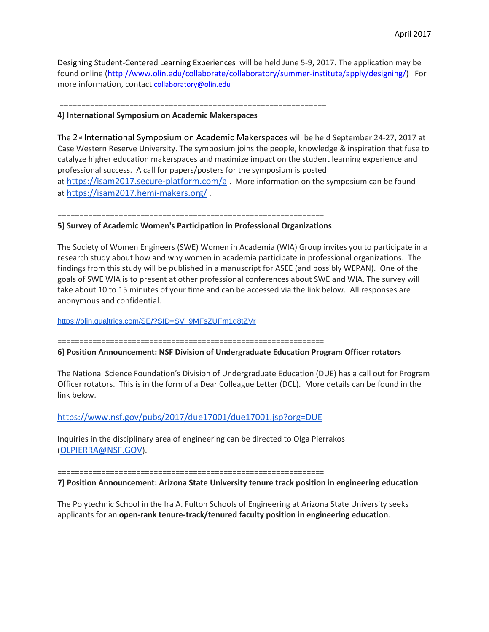Designing Student-Centered Learning Experiences will be held June 5-9, 2017. The application may be found online [\(http://www.olin.edu/collaborate/collaboratory/summer-institute/apply/designing/\)](http://www.olin.edu/collaborate/collaboratory/summer-institute/apply/designing/) For more information, contact [collaboratory@olin.edu](mailto:collaboratory@olin.edu)

=============================================================

#### **4) International Symposium on Academic Makerspaces**

The 2<sup>nd</sup> International Symposium on Academic Makerspaces will be held September 24-27, 2017 at Case Western Reserve University. The symposium joins the people, knowledge & inspiration that fuse to catalyze higher education makerspaces and maximize impact on the student learning experience and professional success. A call for papers/posters for the symposium is posted at <https://isam2017.secure-platform.com/a> . More information on the symposium can be found at <https://isam2017.hemi-makers.org/> .

=============================================================

### **5) Survey of Academic Women's Participation in Professional Organizations**

The Society of Women Engineers (SWE) Women in Academia (WIA) Group invites you to participate in a research study about how and why women in academia participate in professional organizations. The findings from this study will be published in a manuscript for ASEE (and possibly WEPAN). One of the goals of SWE WIA is to present at other professional conferences about SWE and WIA. The survey will take about 10 to 15 minutes of your time and can be accessed via the link below. All responses are anonymous and confidential.

[https://olin.qualtrics.com/SE/?SID=SV\\_9MFsZUFm1q8tZVr](https://olin.qualtrics.com/SE/?SID=SV_9MFsZUFm1q8tZVr)

=============================================================

### **6) Position Announcement: NSF Division of Undergraduate Education Program Officer rotators**

The National Science Foundation's Division of Undergraduate Education (DUE) has a call out for Program Officer rotators. This is in the form of a Dear Colleague Letter (DCL). More details can be found in the link below.

<https://www.nsf.gov/pubs/2017/due17001/due17001.jsp?org=DUE>

Inquiries in the disciplinary area of engineering can be directed to Olga Pierrakos ([OLPIERRA@NSF.GOV](mailto:OLPIERRA@nsf.gov)).

=============================================================

**7) Position Announcement: Arizona State University tenure track position in engineering education**

The Polytechnic School in the Ira A. Fulton Schools of Engineering at Arizona State University seeks applicants for an **open-rank tenure-track/tenured faculty position in engineering education**.